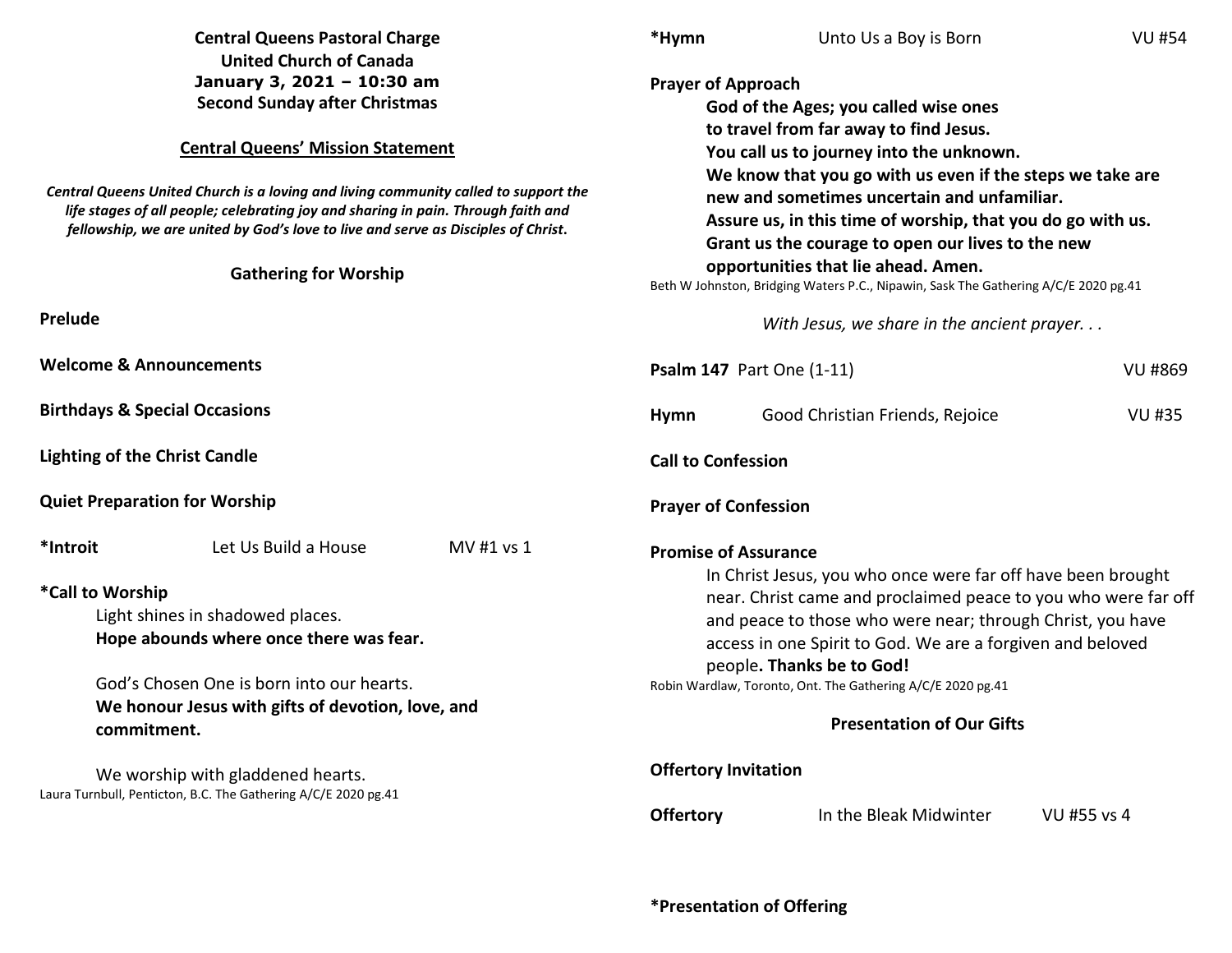| <b>Central Queens Pastoral Charge</b><br><b>United Church of Canada</b><br>January 3, 2021 - 10:30 am<br><b>Second Sunday after Christmas</b>                                                                                                                 |            | *Hymn                                                                                                                                                                                                                                                                                                                                                                                      | Unto Us a Boy is Born                              | <b>VU #54</b> |  |
|---------------------------------------------------------------------------------------------------------------------------------------------------------------------------------------------------------------------------------------------------------------|------------|--------------------------------------------------------------------------------------------------------------------------------------------------------------------------------------------------------------------------------------------------------------------------------------------------------------------------------------------------------------------------------------------|----------------------------------------------------|---------------|--|
|                                                                                                                                                                                                                                                               |            | <b>Prayer of Approach</b><br>God of the Ages; you called wise ones<br>to travel from far away to find Jesus.<br>You call us to journey into the unknown.<br>We know that you go with us even if the steps we take are<br>new and sometimes uncertain and unfamiliar.<br>Assure us, in this time of worship, that you do go with us.<br>Grant us the courage to open our lives to the new   |                                                    |               |  |
| <b>Central Queens' Mission Statement</b>                                                                                                                                                                                                                      |            |                                                                                                                                                                                                                                                                                                                                                                                            |                                                    |               |  |
| Central Queens United Church is a loving and living community called to support the<br>life stages of all people; celebrating joy and sharing in pain. Through faith and<br>fellowship, we are united by God's love to live and serve as Disciples of Christ. |            |                                                                                                                                                                                                                                                                                                                                                                                            |                                                    |               |  |
| <b>Gathering for Worship</b>                                                                                                                                                                                                                                  |            | opportunities that lie ahead. Amen.<br>Beth W Johnston, Bridging Waters P.C., Nipawin, Sask The Gathering A/C/E 2020 pg.41                                                                                                                                                                                                                                                                 |                                                    |               |  |
| Prelude                                                                                                                                                                                                                                                       |            |                                                                                                                                                                                                                                                                                                                                                                                            | With Jesus, we share in the ancient prayer         |               |  |
| <b>Welcome &amp; Announcements</b>                                                                                                                                                                                                                            |            |                                                                                                                                                                                                                                                                                                                                                                                            | <b>Psalm 147 Part One (1-11)</b><br><b>VU #869</b> |               |  |
| <b>Birthdays &amp; Special Occasions</b>                                                                                                                                                                                                                      |            | <b>Hymn</b>                                                                                                                                                                                                                                                                                                                                                                                | Good Christian Friends, Rejoice                    | <b>VU #35</b> |  |
| <b>Lighting of the Christ Candle</b>                                                                                                                                                                                                                          |            | <b>Call to Confession</b>                                                                                                                                                                                                                                                                                                                                                                  |                                                    |               |  |
| <b>Quiet Preparation for Worship</b>                                                                                                                                                                                                                          |            | <b>Prayer of Confession</b>                                                                                                                                                                                                                                                                                                                                                                |                                                    |               |  |
| *Introit<br>Let Us Build a House                                                                                                                                                                                                                              | MV #1 vs 1 | <b>Promise of Assurance</b>                                                                                                                                                                                                                                                                                                                                                                |                                                    |               |  |
| *Call to Worship<br>Light shines in shadowed places.<br>Hope abounds where once there was fear.<br>God's Chosen One is born into our hearts.<br>We honour Jesus with gifts of devotion, love, and<br>commitment.                                              |            | In Christ Jesus, you who once were far off have been brought<br>near. Christ came and proclaimed peace to you who were far off<br>and peace to those who were near; through Christ, you have<br>access in one Spirit to God. We are a forgiven and beloved<br>people. Thanks be to God!<br>Robin Wardlaw, Toronto, Ont. The Gathering A/C/E 2020 pg.41<br><b>Presentation of Our Gifts</b> |                                                    |               |  |
| We worship with gladdened hearts.<br>Laura Turnbull, Penticton, B.C. The Gathering A/C/E 2020 pg.41                                                                                                                                                           |            | <b>Offertory Invitation</b>                                                                                                                                                                                                                                                                                                                                                                |                                                    |               |  |
|                                                                                                                                                                                                                                                               |            | <b>Offertory</b>                                                                                                                                                                                                                                                                                                                                                                           | In the Bleak Midwinter                             | VU #55 vs 4   |  |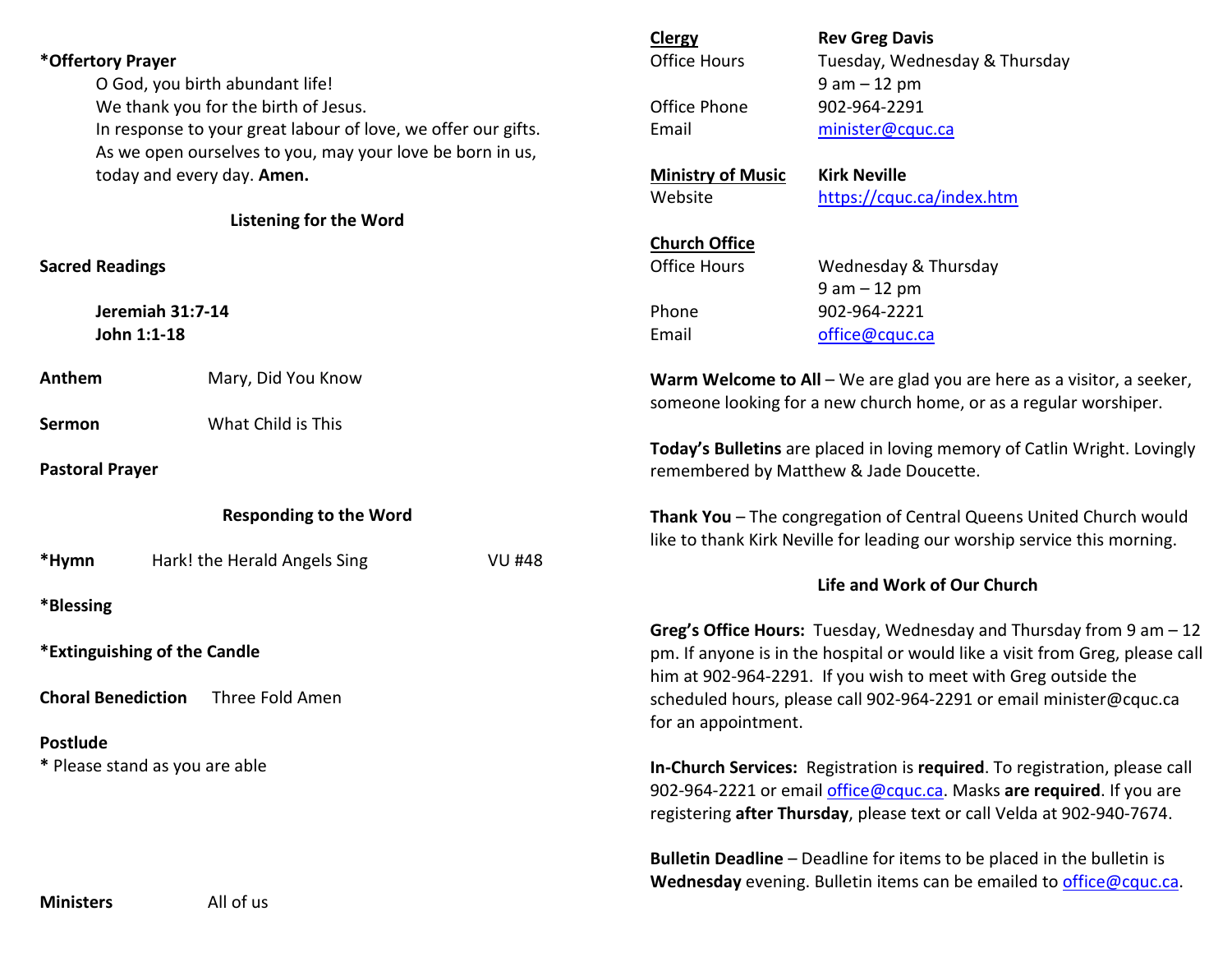|                                                               |                                                           |                                                                                                                                                                                                                              | <b>Clergy</b>                                                                                                                               | <b>Rev Greg Davis</b>                                                                                                                         |  |  |
|---------------------------------------------------------------|-----------------------------------------------------------|------------------------------------------------------------------------------------------------------------------------------------------------------------------------------------------------------------------------------|---------------------------------------------------------------------------------------------------------------------------------------------|-----------------------------------------------------------------------------------------------------------------------------------------------|--|--|
| *Offertory Prayer                                             |                                                           | <b>Office Hours</b>                                                                                                                                                                                                          | Tuesday, Wednesday & Thursday                                                                                                               |                                                                                                                                               |  |  |
| O God, you birth abundant life!                               |                                                           |                                                                                                                                                                                                                              | $9 am - 12 pm$                                                                                                                              |                                                                                                                                               |  |  |
| We thank you for the birth of Jesus.                          |                                                           | Office Phone                                                                                                                                                                                                                 | 902-964-2291                                                                                                                                |                                                                                                                                               |  |  |
| In response to your great labour of love, we offer our gifts. |                                                           | Email                                                                                                                                                                                                                        | minister@cquc.ca                                                                                                                            |                                                                                                                                               |  |  |
|                                                               | As we open ourselves to you, may your love be born in us, |                                                                                                                                                                                                                              |                                                                                                                                             |                                                                                                                                               |  |  |
| today and every day. Amen.                                    |                                                           | <b>Ministry of Music</b>                                                                                                                                                                                                     | <b>Kirk Neville</b>                                                                                                                         |                                                                                                                                               |  |  |
|                                                               |                                                           |                                                                                                                                                                                                                              | Website                                                                                                                                     | https://cquc.ca/index.htm                                                                                                                     |  |  |
|                                                               | <b>Listening for the Word</b>                             |                                                                                                                                                                                                                              |                                                                                                                                             |                                                                                                                                               |  |  |
|                                                               |                                                           |                                                                                                                                                                                                                              | <b>Church Office</b>                                                                                                                        |                                                                                                                                               |  |  |
| <b>Sacred Readings</b>                                        |                                                           |                                                                                                                                                                                                                              | <b>Office Hours</b>                                                                                                                         | Wednesday & Thursday                                                                                                                          |  |  |
|                                                               |                                                           |                                                                                                                                                                                                                              |                                                                                                                                             | $9 am - 12 pm$                                                                                                                                |  |  |
| <b>Jeremiah 31:7-14</b>                                       |                                                           | Phone                                                                                                                                                                                                                        | 902-964-2221                                                                                                                                |                                                                                                                                               |  |  |
| John 1:1-18                                                   |                                                           |                                                                                                                                                                                                                              | Email                                                                                                                                       | office@cquc.ca                                                                                                                                |  |  |
| Anthem                                                        | Mary, Did You Know                                        |                                                                                                                                                                                                                              | Warm Welcome to All - We are glad you are here as a visitor, a seeker,<br>someone looking for a new church home, or as a regular worshiper. |                                                                                                                                               |  |  |
| Sermon                                                        | What Child is This                                        |                                                                                                                                                                                                                              |                                                                                                                                             |                                                                                                                                               |  |  |
|                                                               |                                                           |                                                                                                                                                                                                                              |                                                                                                                                             | Today's Bulletins are placed in loving memory of Catlin Wright. Lovingly                                                                      |  |  |
| <b>Pastoral Prayer</b>                                        |                                                           | remembered by Matthew & Jade Doucette.                                                                                                                                                                                       |                                                                                                                                             |                                                                                                                                               |  |  |
| <b>Responding to the Word</b>                                 |                                                           | Thank You - The congregation of Central Queens United Church would<br>like to thank Kirk Neville for leading our worship service this morning.                                                                               |                                                                                                                                             |                                                                                                                                               |  |  |
| *Hymn                                                         | Hark! the Herald Angels Sing                              | <b>VU #48</b>                                                                                                                                                                                                                |                                                                                                                                             |                                                                                                                                               |  |  |
|                                                               |                                                           | Life and Work of Our Church                                                                                                                                                                                                  |                                                                                                                                             |                                                                                                                                               |  |  |
| *Blessing                                                     |                                                           |                                                                                                                                                                                                                              |                                                                                                                                             |                                                                                                                                               |  |  |
| *Extinguishing of the Candle                                  |                                                           | Greg's Office Hours: Tuesday, Wednesday and Thursday from $9$ am $-12$<br>pm. If anyone is in the hospital or would like a visit from Greg, please call<br>him at 902-964-2291. If you wish to meet with Greg outside the    |                                                                                                                                             |                                                                                                                                               |  |  |
| <b>Choral Benediction</b><br>Three Fold Amen                  |                                                           | scheduled hours, please call 902-964-2291 or email minister@cquc.ca<br>for an appointment.                                                                                                                                   |                                                                                                                                             |                                                                                                                                               |  |  |
| Postlude                                                      |                                                           |                                                                                                                                                                                                                              |                                                                                                                                             |                                                                                                                                               |  |  |
| * Please stand as you are able                                |                                                           | In-Church Services: Registration is required. To registration, please call<br>902-964-2221 or email office@cquc.ca. Masks are required. If you are<br>registering after Thursday, please text or call Velda at 902-940-7674. |                                                                                                                                             |                                                                                                                                               |  |  |
| <b>Ministers</b>                                              | All of us                                                 |                                                                                                                                                                                                                              |                                                                                                                                             | Bulletin Deadline - Deadline for items to be placed in the bulletin is<br>Wednesday evening. Bulletin items can be emailed to office@cquc.ca. |  |  |